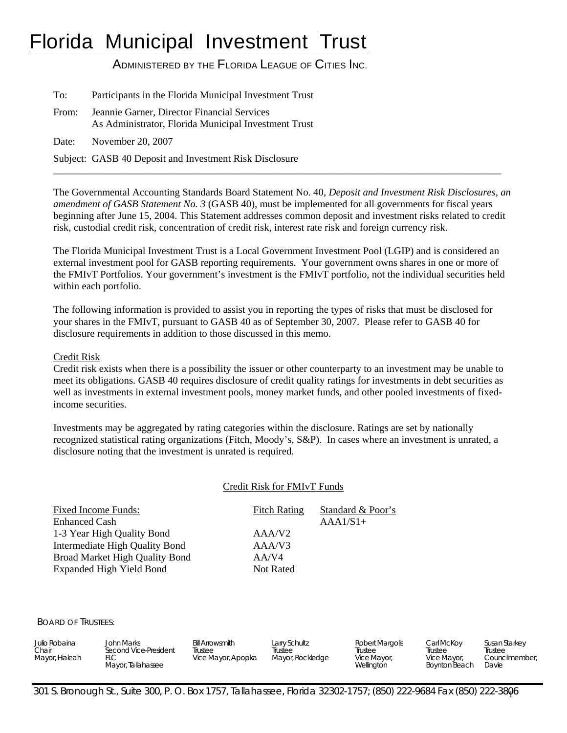# Florida Municipal Investment Trust

## ADMINISTERED BY THE FLORIDA LEAGUE OF CITIES INC.

| To:   | Participants in the Florida Municipal Investment Trust                                              |
|-------|-----------------------------------------------------------------------------------------------------|
| From: | Jeannie Garner, Director Financial Services<br>As Administrator, Florida Municipal Investment Trust |
| Date: | November 20, 2007                                                                                   |
|       | Subject: GASB 40 Deposit and Investment Risk Disclosure                                             |

The Governmental Accounting Standards Board Statement No. 40, *Deposit and Investment Risk Disclosures, an amendment of GASB Statement No. 3* (GASB 40), must be implemented for all governments for fiscal years beginning after June 15, 2004. This Statement addresses common deposit and investment risks related to credit risk, custodial credit risk, concentration of credit risk, interest rate risk and foreign currency risk.

\_\_\_\_\_\_\_\_\_\_\_\_\_\_\_\_\_\_\_\_\_\_\_\_\_\_\_\_\_\_\_\_\_\_\_\_\_\_\_\_\_\_\_\_\_\_\_\_\_\_\_\_\_\_\_\_\_\_\_\_\_\_\_\_\_\_\_\_\_\_\_\_\_\_\_\_\_\_\_\_\_\_\_\_\_\_\_\_\_\_\_\_\_\_\_\_

The Florida Municipal Investment Trust is a Local Government Investment Pool (LGIP) and is considered an external investment pool for GASB reporting requirements. Your government owns shares in one or more of the FMIvT Portfolios. Your government's investment is the FMIvT portfolio, not the individual securities held within each portfolio.

The following information is provided to assist you in reporting the types of risks that must be disclosed for your shares in the FMIvT, pursuant to GASB 40 as of September 30, 2007. Please refer to GASB 40 for disclosure requirements in addition to those discussed in this memo.

#### Credit Risk

Credit risk exists when there is a possibility the issuer or other counterparty to an investment may be unable to meet its obligations. GASB 40 requires disclosure of credit quality ratings for investments in debt securities as well as investments in external investment pools, money market funds, and other pooled investments of fixedincome securities.

Investments may be aggregated by rating categories within the disclosure. Ratings are set by nationally recognized statistical rating organizations (Fitch, Moody's, S&P). In cases where an investment is unrated, a disclosure noting that the investment is unrated is required.

#### Credit Risk for FMIvT Funds

| Fixed Income Funds:<br><b>Enhanced Cash</b> | <b>Fitch Rating</b> | Standard & Poor's<br>$AAA1/S1+$ |
|---------------------------------------------|---------------------|---------------------------------|
| 1-3 Year High Quality Bond                  | AAA/V2              |                                 |
| Intermediate High Quality Bond              | AAA/V3              |                                 |
| Broad Market High Quality Bond              | AA/V4               |                                 |
| <b>Expanded High Yield Bond</b>             | Not Rated           |                                 |
|                                             |                     |                                 |

#### BOARD OF TRUSTEES:

| Julio Robaina<br>Chair<br>Mayor, Hialeah | John Marks<br>Second Vice-President<br>FLC<br>Mayor, Tallahassee | <b>Bill Arrowsmith</b><br>Trustee<br>Vice Mayor, Apopka | Larry Schultz<br>Trustee<br>Mayor, Rockledge | Robert Margolis<br>Trustee<br>Vice Mayor,<br>Wellington | Carl McKov<br>Trustee<br>Vice Mayor,<br><b>Bovnton Beach</b> | Susan Starkey<br>Trustee<br>Councilmember.<br>Davie |
|------------------------------------------|------------------------------------------------------------------|---------------------------------------------------------|----------------------------------------------|---------------------------------------------------------|--------------------------------------------------------------|-----------------------------------------------------|
|------------------------------------------|------------------------------------------------------------------|---------------------------------------------------------|----------------------------------------------|---------------------------------------------------------|--------------------------------------------------------------|-----------------------------------------------------|